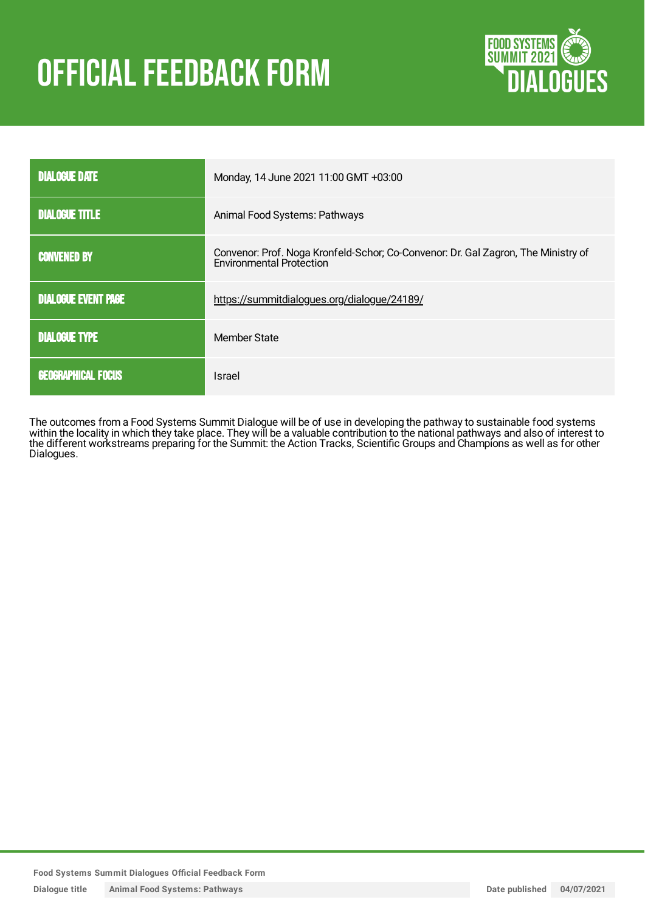# **OFFICIAL FEEDBACK FORM**



| <b>DIALOGUE DATE</b>       | Monday, 14 June 2021 11:00 GMT +03:00                                                                                |  |
|----------------------------|----------------------------------------------------------------------------------------------------------------------|--|
| <b>DIALOGUE TITLE</b>      | Animal Food Systems: Pathways                                                                                        |  |
| <b>CONVENED BY</b>         | Convenor: Prof. Noga Kronfeld-Schor; Co-Convenor: Dr. Gal Zagron, The Ministry of<br><b>Environmental Protection</b> |  |
| <b>DIALOGUE EVENT PAGE</b> | https://summitdialogues.org/dialogue/24189/                                                                          |  |
| <b>DIALOGUE TYPE</b>       | Member State                                                                                                         |  |
| <b>GEOGRAPHICAL FOCUS</b>  | Israel                                                                                                               |  |

The outcomes from a Food Systems Summit Dialogue will be of use in developing the pathway to sustainable food systems within the locality in which they take place. They will be a valuable contribution to the national pathways and also of interest to the different workstreams preparing for the Summit: the Action Tracks, Scientific Groups and Champions as well as for other Dialogues.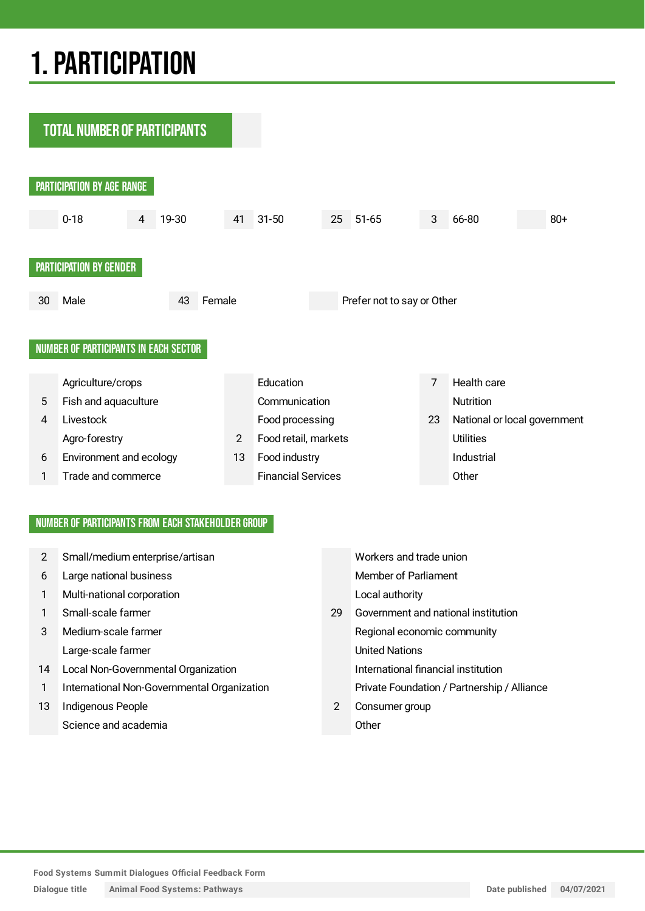# 1.PARTICIPATION

**TOTAL NUMBER OF PARTICIPANTS** PARTICIPATION BY AGE RANGE 0-18 4 19-30 41 31-50 25 51-65 3 66-80 80+ PARTICIPATION BY GENDER 30 Male 43 Female Prefer not to say or Other NUMBER OF PARTICIPANTS IN EACH SECTOR Agriculture/crops **Education** Education 7 Health care 5 Fish and aquaculture Communication Communication 4 Livestock Food processing 23 National or local government Agro-forestry **2** Food retail, markets Utilities 6 Environment and ecology 13 Food industry **Industrial** 1 Trade and commerce Financial Services Other

## NUMBER OF PARTICIPANTS FROM EACH STAKEHOLDER GROUP

| 2  | Small/medium enterprise/artisan             |    | Workers and trade union                     |
|----|---------------------------------------------|----|---------------------------------------------|
| 6  | Large national business                     |    | <b>Member of Parliament</b>                 |
| 1  | Multi-national corporation                  |    | Local authority                             |
| 1  | Small-scale farmer                          | 29 | Government and national institution         |
| 3  | Medium-scale farmer                         |    | Regional economic community                 |
|    | Large-scale farmer                          |    | <b>United Nations</b>                       |
| 14 | Local Non-Governmental Organization         |    | International financial institution         |
| 1  | International Non-Governmental Organization |    | Private Foundation / Partnership / Alliance |
| 13 | Indigenous People                           | 2  | Consumer group                              |
|    | Science and academia                        |    | Other                                       |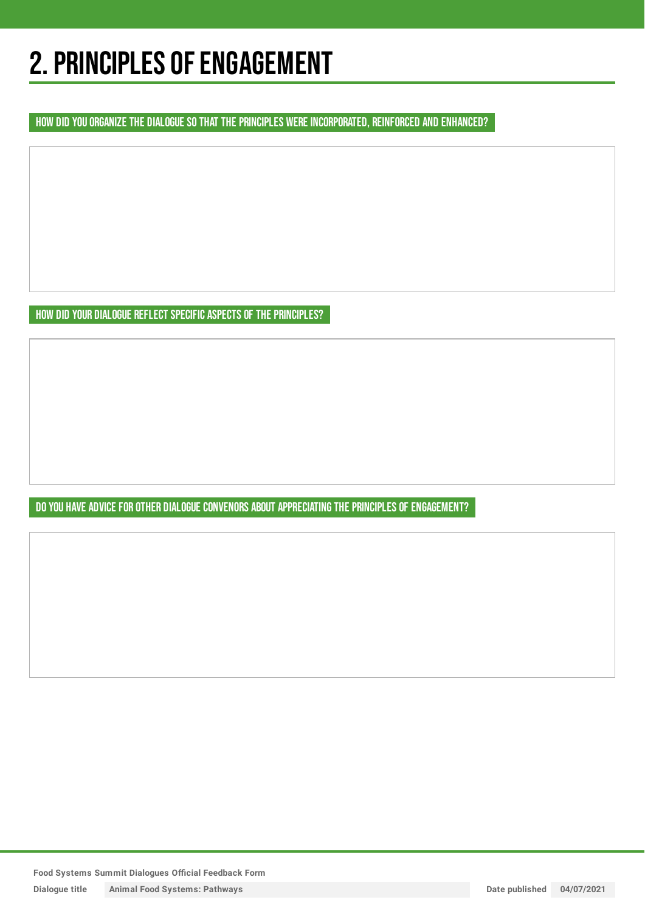# 2. PRINCIPLES OF ENGAGEMENT

HOW DID YOU ORGANIZE THE DIALOGUE SO THAT THE PRINCIPLES WERE INCORPORATED, REINFORCED AND ENHANCED?

HOW DID YOUR DIALOGUE REFLECT SPECIFIC ASPECTS OF THE PRINCIPLES?

DO YOU HAVE ADVICE FOR OTHER DIALOGUE CONVENORS ABOUT APPRECIATING THE PRINCIPLES OF ENGAGEMENT?

**Food Systems Summit Dialogues Official Feedback Form**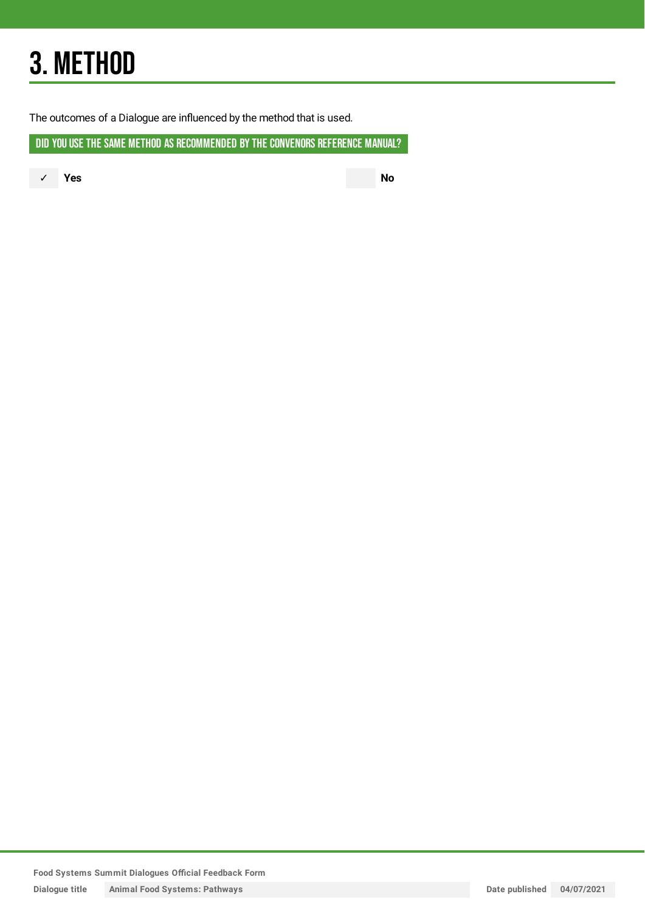# 3. METHOD

The outcomes of a Dialogue are influenced by the method that is used.

DID YOU USE THE SAME METHOD AS RECOMMENDED BY THE CONVENORS REFERENCE MANUAL?

✓ **Yes No**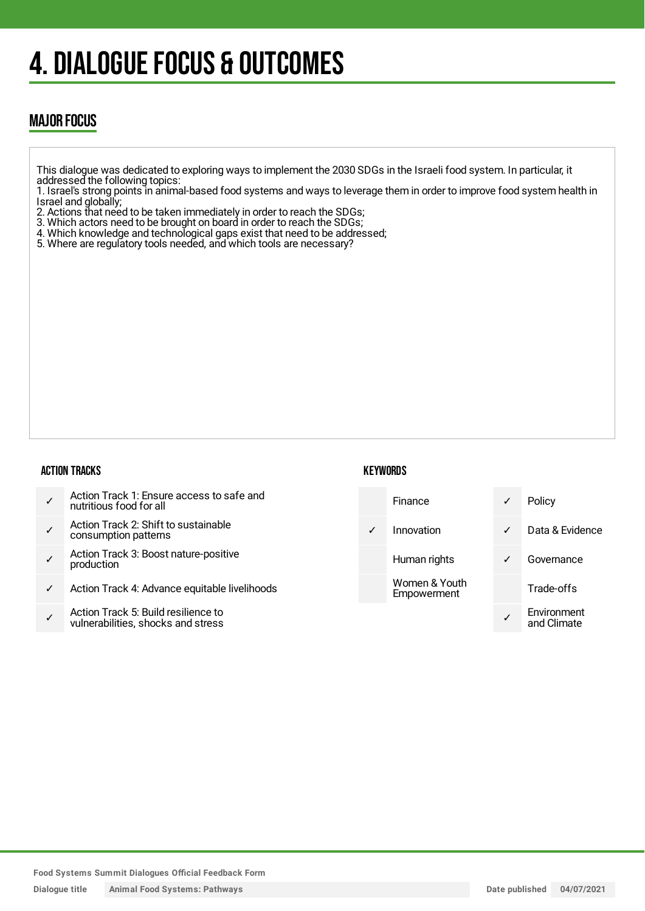# 4. DIALOGUE FOCUS & OUTCOMES

# MAJOR FOCUS

- This dialogue was dedicated to exploring ways to implement the 2030 SDGs in the Israeli food system. In particular, it addressed the following topics:
- 1. Israel's strong points in animal-based food systems and ways to leverage them in order to improve food system health in Israel and globally;
- 2. Actions that need to be taken immediately in order to reach the SDGs;
- 3. Which actors need to be brought on board in order to reach the SDGs;
- 4. Which knowledge and technological gaps exist that need to be addressed;
- 5. Where are regulatory tools needed, and which tools are necessary?

### ACTION TRACKS

# **KEYWORDS**

✓ Action Track 1: Ensure access to safe and nutritious food for all ✓ Action Track 2: Shift to sustainable consumption patterns ✓ Action Track 3: Boost nature-positive production ✓ Action Track 4: Advance equitable livelihoods ✓ Action Track 5: Build resilience to vulnerabilities, shocks and stress Finance ✓ Policy ✓ Innovation ✓ Data & Evidence Human rights **v** Governance Women & Youth Empowerment Trade-offs ✓ **Environment** and Climate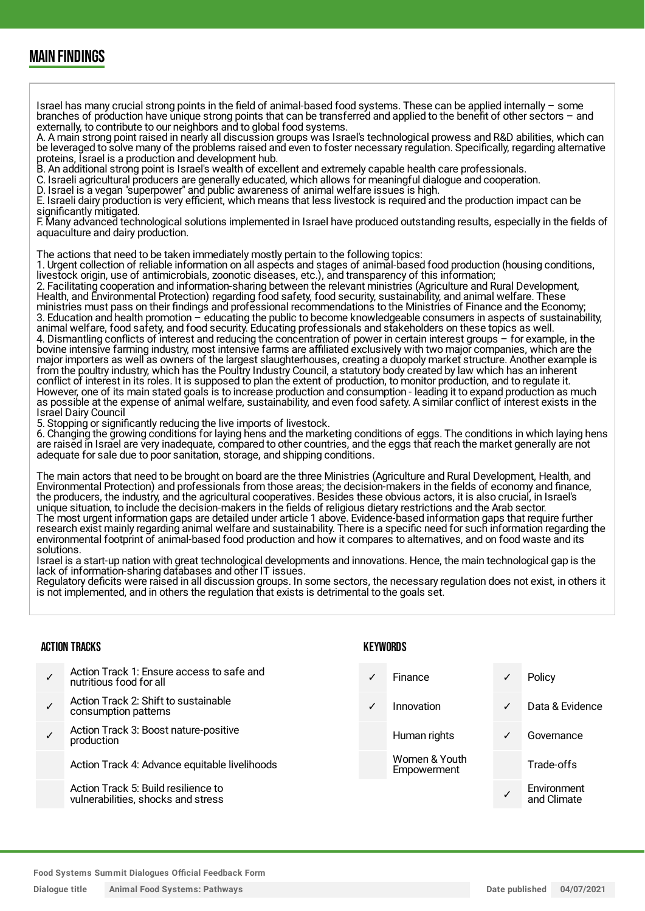# MAIN FINDINGS

Israel has many crucial strong points in the field of animal-based food systems. These can be applied internally – some branches of production have unique strong points that can be transferred and applied to the benefit of other sectors – and externally, to contribute to our neighbors and to global food systems.

A. A main strong point raised in nearly all discussion groups was Israel's technological prowess and R&D abilities, which can be leveraged to solve many of the problems raised and even to foster necessary regulation. Specifically, regarding alternative proteins, Israel is a production and development hub.

B. An additional strong point is Israel's wealth of excellent and extremely capable health care professionals.

C. Israeli agricultural producers are generally educated, which allows for meaningful dialogue and cooperation.

D. Israel is a vegan "superpower" and public awareness of animal welfare issues is high.

E. Israeli dairy production is very efficient, which means that less livestock is required and the production impact can be significantly mitigated.

F. Many advanced technological solutions implemented in Israel have produced outstanding results, especially in the fields of aquaculture and dairy production.

The actions that need to be taken immediately mostly pertain to the following topics:

1. Urgent collection of reliable information on all aspects and stages of animal-based food production (housing conditions, livestock origin, use of antimicrobials, zoonotic diseases, etc.), and transparency of this information;

2. Facilitating cooperation and information-sharing between the relevant ministries (Agriculture and Rural Development, Health, and Environmental Protection) regarding food safety, food security, sustainability, and animal welfare. These ministries must pass on their findings and professional recommendations to the Ministries of Finance and the Economy; 3. Education and health promotion – educating the public to become knowledgeable consumers in aspects of sustainability, animal welfare, food safety, and food security. Educating professionals and stakeholders on these topics as well. 4. Dismantling conflicts of interest and reducing the concentration of power in certain interest groups – for example, in the bovine intensive farming industry, most intensive farms are affiliated exclusively with two major companies, which are the major importers as well as owners of the largest slaughterhouses, creating a duopoly market structure. Another example is from the poultry industry, which has the Poultry Industry Council, a statutory body created by law which has an inherent conflict of interest in its roles. It is supposed to plan the extent of production, to monitor production, and to regulate it. However, one of its main stated goals is to increase production and consumption - leading it to expand production as much as possible at the expense of animal welfare, sustainability, and even food safety. A similar conflict of interest exists in the Israel Dairy Council

5. Stopping or significantly reducing the live imports of livestock.

6. Changing the growing conditions for laying hens and the marketing conditions of eggs. The conditions in which laying hens are raised in Israel are very inadequate, compared to other countries, and the eggs that reach the market generally are not adequate for sale due to poor sanitation, storage, and shipping conditions.

The main actors that need to be brought on board are the three Ministries (Agriculture and Rural Development, Health, and Environmental Protection) and professionals from those areas; the decision-makers in the fields of economy and finance, the producers, the industry, and the agricultural cooperatives. Besides these obvious actors, it is also crucial, in Israel's unique situation, to include the decision-makers in the fields of religious dietary restrictions and the Arab sector. The most urgent information gaps are detailed under article 1 above. Evidence-based information gaps that require further research exist mainly regarding animal welfare and sustainability. There is a specific need for such information regarding the environmental footprint of animal-based food production and how it compares to alternatives, and on food waste and its solutions.

Israel is a start-up nation with great technological developments and innovations. Hence, the main technological gap is the lack of information-sharing databases and other IT issues.

Regulatory deficits were raised in all discussion groups. In some sectors, the necessary regulation does not exist, in others it is not implemented, and in others the regulation that exists is detrimental to the goals set.

#### ACTION TRACKS

- ✓ Action Track 1: Ensure access to safe and nutritious food for all
- ✓ Action Track 2: Shift to sustainable consumption patterns
- ✓ Action Track 3: Boost nature-positive production

Action Track 4: Advance equitable livelihoods

Action Track 5: Build resilience to vulnerabilities, shocks and stress

### **KEYWORDS**

Finance **√** Policy

Women & Youth Empowerment

- ✓ Innovation ✓ Data & Evidence
- Human rights **v** Governance

Trade-offs

✓ **Environment** and Climate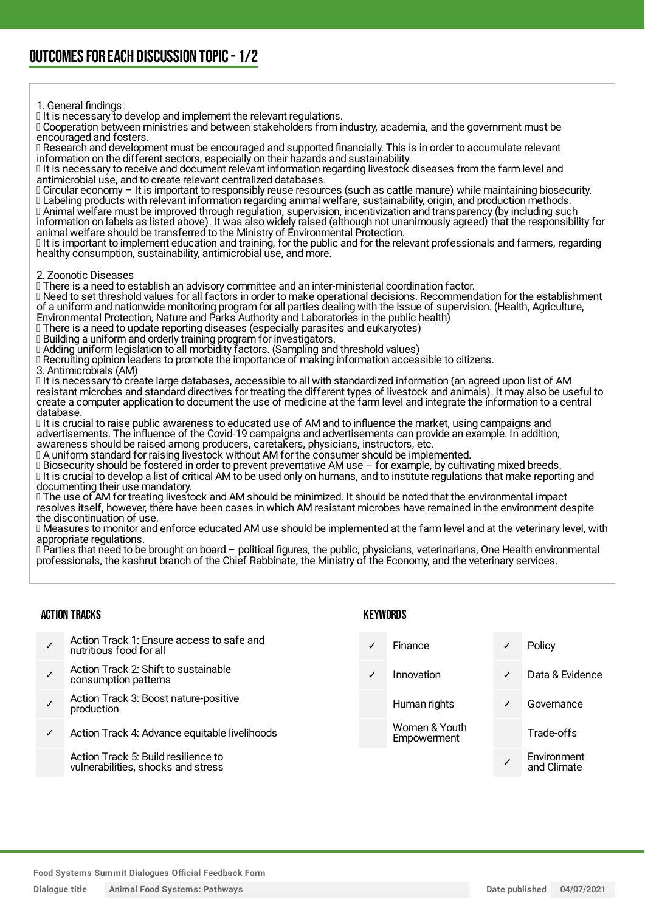1. General findings:

If it is necessary to develop and implement the relevant regulations.

 Cooperation between ministries and between stakeholders from industry, academia, and the government must be encouraged and fosters.

 Research and development must be encouraged and supported financially. This is in order to accumulate relevant information on the different sectors, especially on their hazards and sustainability.

 It is necessary to receive and document relevant information regarding livestock diseases from the farm level and antimicrobial use, and to create relevant centralized databases.

 Circular economy – It is important to responsibly reuse resources (such as cattle manure) while maintaining biosecurity. Labeling products with relevant information regarding animal welfare, sustainability, origin, and production methods. Animal welfare must be improved through regulation, supervision, incentivization and transparency (by including such

information on labels as listed above). It was also widely raised (although not unanimously agreed) that the responsibility for animal welfare should be transferred to the Ministry of Environmental Protection.

If it is important to implement education and training, for the public and for the relevant professionals and farmers, regarding healthy consumption, sustainability, antimicrobial use, and more.

2. Zoonotic Diseases

There is a need to establish an advisory committee and an inter-ministerial coordination factor.

 Need to set threshold values for all factors in order to make operational decisions. Recommendation for the establishment of a uniform and nationwide monitoring program for all parties dealing with the issue of supervision. (Health, Agriculture,

Environmental Protection, Nature and Parks Authority and Laboratories in the public health)

 There is a need to update reporting diseases (especially parasites and eukaryotes) Building a uniform and orderly training program for investigators.

Adding uniform legislation to all morbidity factors. (Sampling and threshold values)

 $\Box$  Recruiting opinion leaders to promote the importance of making information accessible to citizens.

3. Antimicrobials (AM)

Il t is necessary to create large databases, accessible to all with standardized information (an agreed upon list of AM resistant microbes and standard directives for treating the different types of livestock and animals). It may also be useful to create a computer application to document the use of medicine at the farm level and integrate the information to a central database.

If is crucial to raise public awareness to educated use of AM and to influence the market, using campaigns and advertisements. The influence of the Covid-19 campaigns and advertisements can provide an example. In addition, awareness should be raised among producers, caretakers, physicians, instructors, etc.

A uniform standard for raising livestock without AM for the consumer should be implemented.

 Biosecurity should be fostered in order to prevent preventative AM use – for example, by cultivating mixed breeds. It is crucial to develop a list of critical AM to be used only on humans, and to institute regulations that make reporting and documenting their use mandatory.

 The use of AM for treating livestock and AM should be minimized. It should be noted that the environmental impact resolves itself, however, there have been cases in which AM resistant microbes have remained in the environment despite the discontinuation of use.

 Measures to monitor and enforce educated AM use should be implemented at the farm level and at the veterinary level, with appropriate regulations.

DParties that need to be brought on board – political figures, the public, physicians, veterinarians, One Health environmental professionals, the kashrut branch of the Chief Rabbinate, the Ministry of the Economy, and the veterinary services.

### ACTION TRACKS

- ✓ Action Track 1: Ensure access to safe and nutritious food for all
- ✓ Action Track 2: Shift to sustainable consumption patterns
- ✓ Action Track 3: Boost nature-positive production
- Action Track 4: Advance equitable livelihoods

Action Track 5: Build resilience to vulnerabilities, shocks and stress

### **KEYWORDS**

Finance **√** Policy ✓ Innovation ✓ Data & Evidence Human rights **v** Governance Women & Youth Empowerment Trade-offs ✓ **Environment** and Climate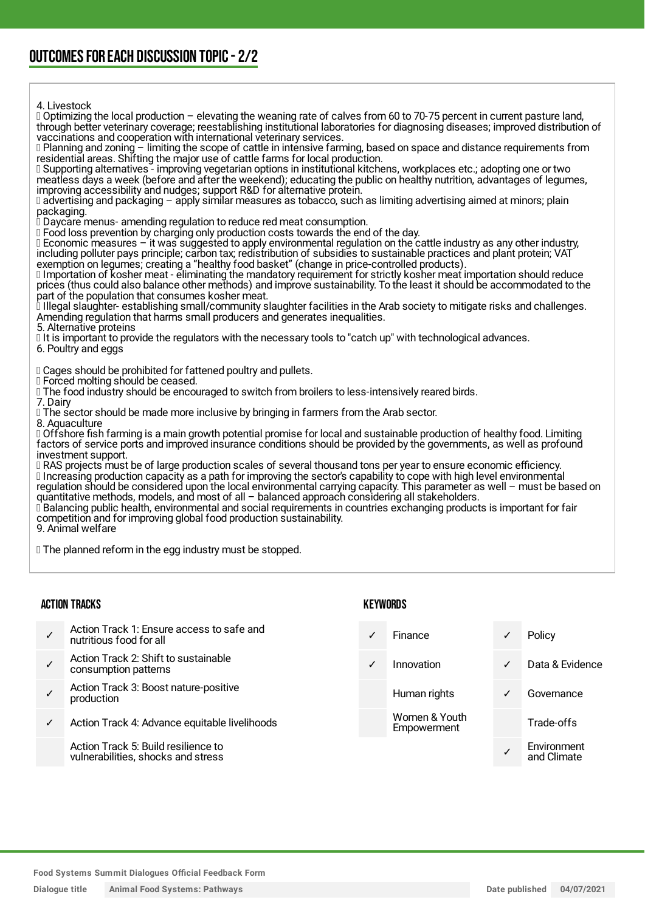4. Livestock

 Optimizing the local production – elevating the weaning rate of calves from 60 to 70-75 percent in current pasture land, through better veterinary coverage; reestablishing institutional laboratories for diagnosing diseases; improved distribution of vaccinations and cooperation with international veterinary services.  $\Box$  Planning and zoning – limiting the scope of cattle in intensive farming, based on space and distance requirements from residential areas. Shifting the major use of cattle farms for local production. Supporting alternatives - improving vegetarian options in institutional kitchens, workplaces etc.; adopting one or two meatless days a week (before and after the weekend); educating the public on healthy nutrition, advantages of legumes, improving accessibility and nudges; support R&D for alternative protein. advertising and packaging – apply similar measures as tobacco, such as limiting advertising aimed at minors; plain packaging. Daycare menus- amending regulation to reduce red meat consumption. I Food loss prevention by charging only production costs towards the end of the day. Economic measures – it was suggested to apply environmental regulation on the cattle industry as any other industry, including polluter pays principle; carbon tax; redistribution of subsidies to sustainable practices and plant protein; VAT exemption on legumes; creating a "healthy food basket" (change in price-controlled products). Importation of kosher meat - eliminating the mandatory requirement for strictly kosher meat importation should reduce prices (thus could also balance other methods) and improve sustainability. To the least it should be accommodated to the part of the population that consumes kosher meat. Illegal slaughter- establishing small/community slaughter facilities in the Arab society to mitigate risks and challenges. Amending regulation that harms small producers and generates inequalities. 5. Alternative proteins It is important to provide the regulators with the necessary tools to "catch up" with technological advances. 6. Poultry and eggs Cages should be prohibited for fattened poultry and pullets. Forced molting should be ceased. The food industry should be encouraged to switch from broilers to less-intensively reared birds. 7. Dairy The sector should be made more inclusive by bringing in farmers from the Arab sector. 8. Aquaculture Offshore fish farming is a main growth potential promise for local and sustainable production of healthy food. Limiting factors of service ports and improved insurance conditions should be provided by the governments, as well as profound investment support. RAS projects must be of large production scales of several thousand tons per year to ensure economic efficiency. Increasing production capacity as a path for improving the sector's capability to cope with high level environmental regulation should be considered upon the local environmental carrying capacity. This parameter as well – must be based on quantitative methods, models, and most of all – balanced approach considering all stakeholders.  $\Box$  Balancing public health, environmental and social requirements in countries exchanging products is important for fair competition and for improving global food production sustainability. 9. Animal welfare **The planned reform in the egg industry must be stopped.** ACTION TRACKS KEYWORDS

✓ Action Track 1: Ensure access to safe and nutritious food for all ✓ Action Track 2: Shift to sustainable consumption patterns ✓ Action Track 3: Boost nature-positive production ✓ Action Track 4: Advance equitable livelihoods Action Track 5: Build resilience to vulnerabilities, shocks and stress Finance **v** Policy ✓ Innovation ✓ Data & Evidence Human rights **∠** Governance Women & Youth Empowerment Trade-offs ✓ **Environment** and Climate